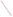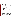# **Technical Factsheet on: CHLORDANE**

[List of Contaminants](http://www.epa.gov/safewater/hfacts.html) 

 As part of the Drinking Water and Health pages, this fact sheet is part of a larger publication: **National Primary Drinking Water Regulations** 

Drinking Water Standards MCLG: Zero mg/L MCL: 0.002 mg/L HAL(child): 1 day: 0.06 mg/L; 10-day: 0.06 mg/L

## **Health Effects Summary**

 Acute: EPA has found chlordane to potentially cause central nervous system effects - including irritability, excess salivation, labored breathing, tremors, convulsions, deep depression - and blood system effects such as anemia and certain types of leukemia.

 consuming 1 liter of water per day, a one- to ten-day exposure to 0.06 mg/L. Drinking water levels which are considered "safe" for short-term exposures: For a 10-kg (22 lb.) child

Chronic: Chlordane has the potential to damage liver, kidneys heart lungs spleen and adrenal glands from long-term exposure at levels above the MCL.

Cancer: There is some evidence that chlordane may have the potential to cause cancer from a lifetime exposure at levels above the MCL.

## **Usage Patterns**

 3.6 million pounds. It was used on corn, citrus, deciduous fruits and nuts, vegetables; for home, garden and ornamentals; lawns, turf, ditchbanks and roadsides. It was applied directly to soil or foliage to control underground termite control. As of April 14, 1988, however, all commercial use of chlordane in the US has been cancelled. The only commercial use of chlordane products still permitted is for fire ant control in The amount of chlordane used annually in the US prior to 1983 was estimated in 1985 to be greater that a variety of insect pests including parasitic roundworms and other nematodes, termites, cutworms, chiggers, leafhoppers. After July 1, 1983 the only approved use for chlordane in the USA was for power transformers.

## **Release Patterns**

Chlordane has been released into the environment primarily from its application as an insecticide.

# **Environmental Fate**

 however, shallow incorporation into soil will greatly restrict volatile losses. Although sufficient If released to soil, chlordane may persist for long periods of time; under field conditions, the mean degradation rate has been observed to range from 4.05-28.33%/yr with a mean half-life of 3.3 years. Chlordane is expected to be generally immobile or only slightly mobile in soil, however, its detection in various groundwaters in NJ and elsewhere indicates that movement to groundwater can occur. Chlordane can volatilize significantly from soil surfaces on which it has been sprayed, particularly moist soil surfaces; biodegradation data are not available, it has been suggested that chlordane is very slowly biotransformed in the environment which is consistent with the long persistence periods observed under field conditions.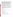process. Sensitized photolysis in the water column may be possible. Adsorption to sediment is expected to be a major fate process based on soil adsorption data, estimated Koc values (15,500-24,600), and If released to water, chlordane is not expected to undergo significant hydrolysis, oxidation or drect photolysis. The volatilization half-life from a representative environmental pond, river and lake are estimated to be 18-26, 3.6-5.2 and 14.4-20.6 days, respectively. However, adsorption to sediment significantly attenuates the importance of volatilization. Biodegradation does not seem to be an important extensive sediment monitoring data. The presence of chlordane in sediment core samples suggests that chlordane may be very persistent in the adsorbed state in the aquatic environment.

 Bioconcentration in fish is expected to be important based on experimental BCF values which are degradation products do not appear to be extensively concentrated in the higher members of the generally above 3,200, although there is some evidence that accumulation is reversible over time in the absence of further exposures. In contrast to other organochlorine pesticides, chlordane and its terrestrial food chain, ie, homeotherms.

 If released to the atmosphere chlordane will be expected to exist predominately in the vapor phase. Chlordane will react in the vapor-phase with photochemically produced hydroxyl radicals at an estimated half-life rate of 6.2 hr suggesting that this reaction is the dominant chemical removal process. The detection of chlordane in remote atmospheres (Pacific and Atlantic Oceans; The Arctic) indicates that long range transport occurs.

 It has been estimated that 96% of the airborne reservoir of chlordane exists in the sorbed state which may explain why its long range transport is possible without chemical transformation. The detection of chlordane in rainwater and its observed dry deposition at various rural locations indicates that physical removal via wet and dry deposition occurs in the environment.

## **Chemical/ Physical Properties**

CAS Number: 57-74-9

Color/ Form/Odor: Viscous liquid, colorless to amber, with a slight chlorine-like aromatic odor

M.P.: 103-108 C B.P.: 175 C

Vapor Pressure: 1x10-5 mm Hg at 25 C

Octanol/Water Partition (Kow): Log Kow = 2.78

Density/Spec. Grav.: 1.59-1.63 at 25 C

Solubility: 0.0001 g/L of water at 25 C; Insoluble in water

Soil sorption coefficient: log Koc estimated at 4.19 to 4.39; very low mobility in soil

Odor/Taste Thresholds: N/A

Henry's Law Coefficient: 1.3x10-3 atm-cu m/mole (gamma-chlordane)

Bioconcentration Factor: log BCF=3.6 to 4.6 in fish; significant bioconcentration in aguatic organisms.